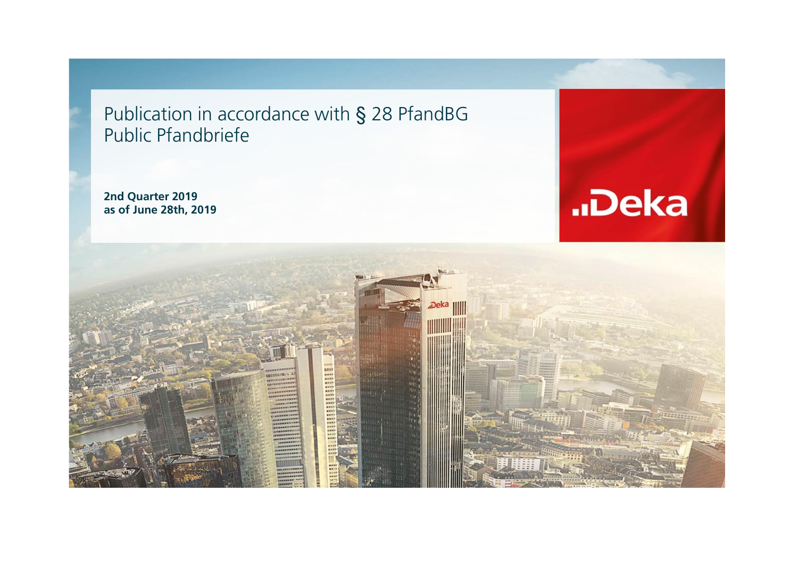Publication in accordance with § 28 PfandBG Public Pfandbriefe

**2nd Quarter 2019 as of June 28th, 2019**



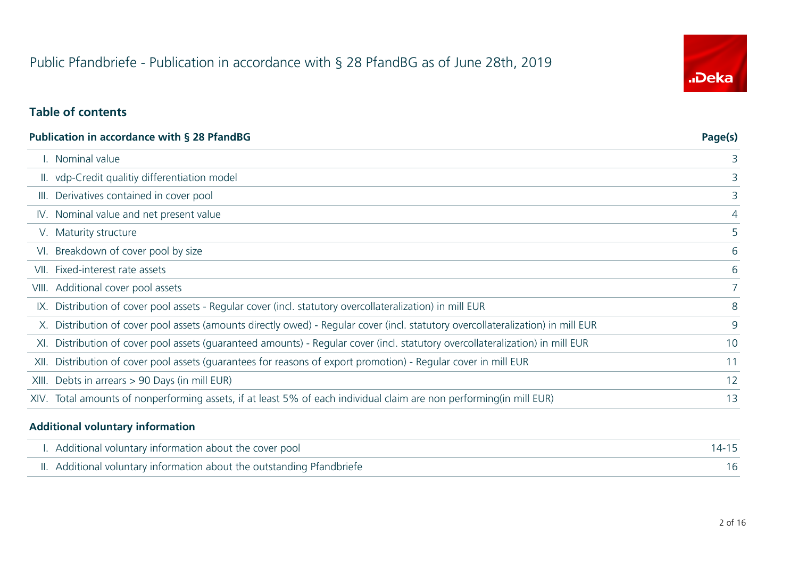# Public Pfandbriefe - Publication in accordance with § 28 PfandBG as of June 28th, 2019

# "Deka

#### **Table of contents**

|       | <b>Publication in accordance with § 28 PfandBG</b>                                                                               | Page(s)     |
|-------|----------------------------------------------------------------------------------------------------------------------------------|-------------|
|       | I. Nominal value                                                                                                                 | 3           |
|       | II. vdp-Credit qualitiy differentiation model                                                                                    | 3           |
| III.  | Derivatives contained in cover pool                                                                                              | 3           |
|       | IV. Nominal value and net present value                                                                                          | 4           |
|       | V. Maturity structure                                                                                                            | 5           |
|       | VI. Breakdown of cover pool by size                                                                                              | 6           |
| VII.  | Fixed-interest rate assets                                                                                                       | 6           |
|       | VIII. Additional cover pool assets                                                                                               | $7^{\circ}$ |
|       | IX. Distribution of cover pool assets - Regular cover (incl. statutory overcollateralization) in mill EUR                        | 8           |
|       | X. Distribution of cover pool assets (amounts directly owed) - Regular cover (incl. statutory overcollateralization) in mill EUR | 9           |
| XI.   | Distribution of cover pool assets (guaranteed amounts) - Regular cover (incl. statutory overcollateralization) in mill EUR       | 10          |
| XII.  | Distribution of cover pool assets (quarantees for reasons of export promotion) - Regular cover in mill EUR                       | 11          |
| XIII. | Debts in arrears > 90 Days (in mill EUR)                                                                                         | 12          |
|       | XIV. Total amounts of nonperforming assets, if at least 5% of each individual claim are non performing(in mill EUR)              | 13          |
|       |                                                                                                                                  |             |

#### **Additional voluntary information**

 $\overline{a}$ 

| I. Additional voluntary information about the cover pool               |  |
|------------------------------------------------------------------------|--|
| II. Additional voluntary information about the outstanding Pfandbriefe |  |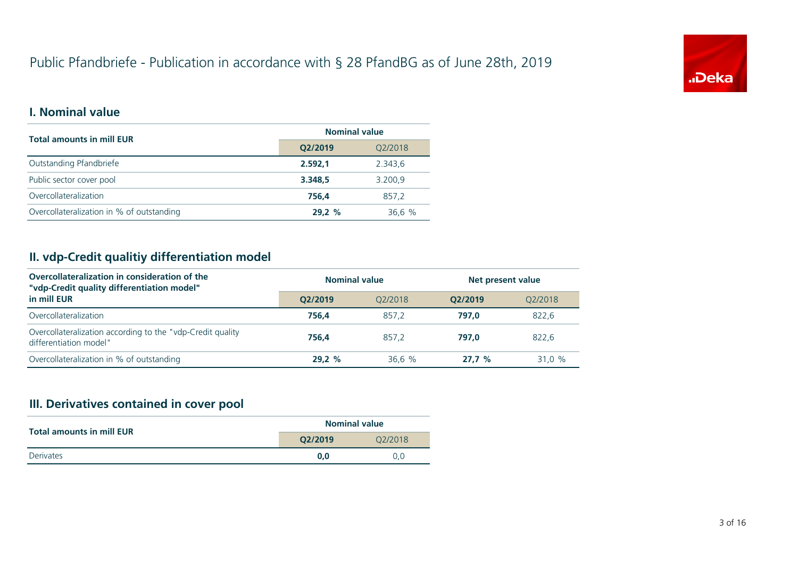# Public Pfandbriefe - Publication in accordance with § 28 PfandBG as of June 28th, 2019



#### **I. Nominal value**

| <b>Total amounts in mill EUR</b>          | <b>Nominal value</b> |         |  |
|-------------------------------------------|----------------------|---------|--|
|                                           | Q2/2019              | Q2/2018 |  |
| Outstanding Pfandbriefe                   | 2.592,1              | 2.343,6 |  |
| Public sector cover pool                  | 3.348.5              | 3.200,9 |  |
| Overcollateralization                     | 756.4                | 857.2   |  |
| Overcollateralization in % of outstanding | 29.2%                | 36,6%   |  |

#### **II. vdp-Credit qualitiy differentiation model**

| Overcollateralization in consideration of the<br>"vdp-Credit quality differentiation model" | <b>Nominal value</b> |         | Net present value    |         |  |
|---------------------------------------------------------------------------------------------|----------------------|---------|----------------------|---------|--|
| in mill EUR                                                                                 | O2/2019              | O2/2018 | O <sub>2</sub> /2019 | 02/2018 |  |
| Overcollateralization                                                                       | 756.4                | 857.2   | 797.0                | 822,6   |  |
| Overcollateralization according to the "vdp-Credit quality<br>differentiation model"        | 756.4                | 857.2   | 797.0                | 822.6   |  |
| Overcollateralization in % of outstanding                                                   | 29.2%                | 36.6%   | 27.7%                | 31.0 %  |  |

# **III. Derivatives contained in cover pool**

| <b>Total amounts in mill EUR</b> | <b>Nominal value</b> |         |  |
|----------------------------------|----------------------|---------|--|
|                                  | O2/2019              | 02/2018 |  |
| Derivates                        | 0.0                  | 0.0     |  |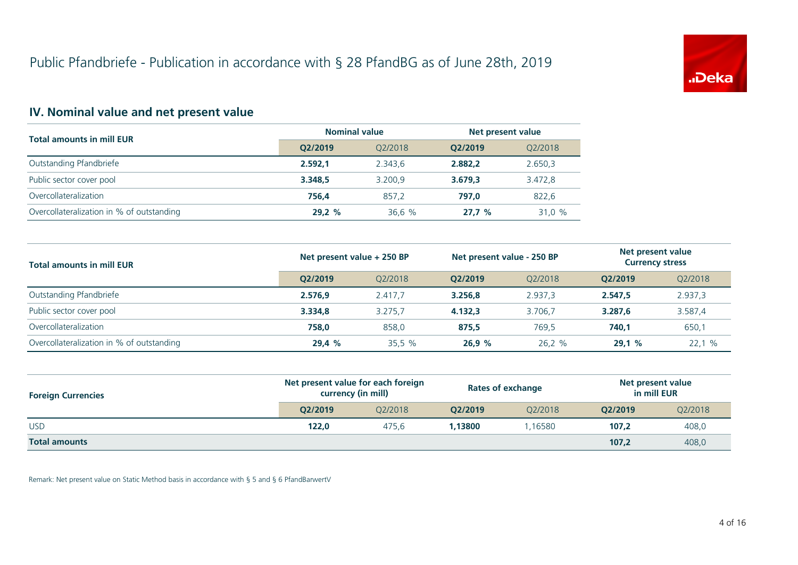

# **IV. Nominal value and net present value**

| <b>Total amounts in mill EUR</b>          | <b>Nominal value</b> |         | Net present value |         |
|-------------------------------------------|----------------------|---------|-------------------|---------|
|                                           | O2/2019              | 02/2018 | O2/2019           | Q2/2018 |
| Outstanding Pfandbriefe                   | 2.592.1              | 2.343.6 | 2.882.2           | 2.650,3 |
| Public sector cover pool                  | 3.348.5              | 3.200.9 | 3.679.3           | 3.472,8 |
| Overcollateralization                     | 756.4                | 857.2   | 797.0             | 822,6   |
| Overcollateralization in % of outstanding | 29.2%                | 36.6%   | 27.7%             | 31.0 %  |

| <b>Total amounts in mill EUR</b>          | Net present value + 250 BP |         | Net present value - 250 BP |         | Net present value<br><b>Currency stress</b> |         |
|-------------------------------------------|----------------------------|---------|----------------------------|---------|---------------------------------------------|---------|
|                                           | O2/2019                    | 02/2018 | O2/2019                    | 02/2018 | O2/2019                                     | Q2/2018 |
| Outstanding Pfandbriefe                   | 2.576.9                    | 2.417.7 | 3.256.8                    | 2.937.3 | 2.547.5                                     | 2.937,3 |
| Public sector cover pool                  | 3.334.8                    | 3.275.7 | 4.132.3                    | 3.706.7 | 3.287,6                                     | 3.587,4 |
| Overcollateralization                     | 758.0                      | 858.0   | 875.5                      | 769.5   | 740.1                                       | 650,1   |
| Overcollateralization in % of outstanding | 29.4 %                     | 35.5%   | 26.9%                      | 26,2 %  | 29,1%                                       | 22.1%   |

| <b>Foreign Currencies</b> | Net present value for each foreign<br>currency (in mill) |         | <b>Rates of exchange</b> |         | Net present value<br>in mill EUR |                           |
|---------------------------|----------------------------------------------------------|---------|--------------------------|---------|----------------------------------|---------------------------|
|                           | O2/2019                                                  | 02/2018 | O2/2019                  | 02/2018 | O2/2019                          | Q2/2018<br>408,0<br>408,0 |
| <b>USD</b>                | 122,0                                                    | 475.6   | 1.13800                  | .16580  | 107,2                            |                           |
| <b>Total amounts</b>      |                                                          |         |                          |         | 107,2                            |                           |

Remark: Net present value on Static Method basis in accordance with § 5 and § 6 PfandBarwertV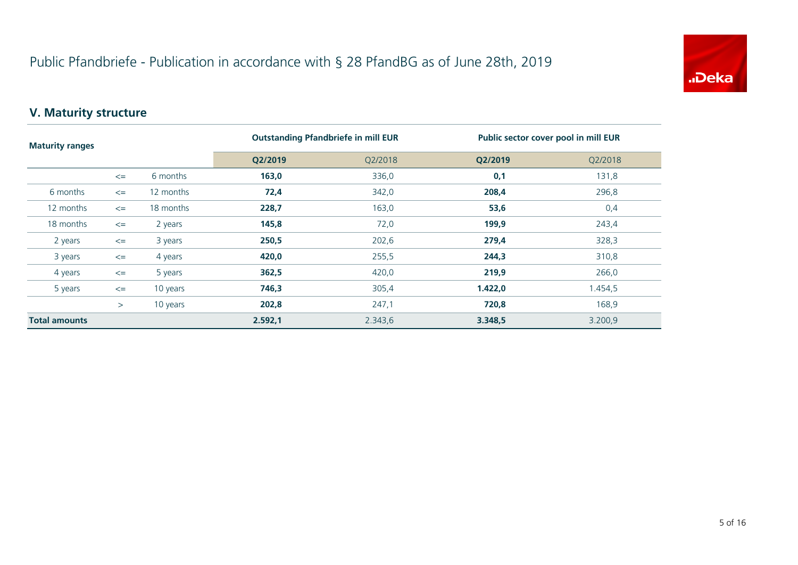

# **V. Maturity structure**

| <b>Maturity ranges</b> |        |           | <b>Outstanding Pfandbriefe in mill EUR</b> |         | Public sector cover pool in mill EUR |         |
|------------------------|--------|-----------|--------------------------------------------|---------|--------------------------------------|---------|
|                        |        |           | Q2/2019                                    | Q2/2018 | Q2/2019                              | Q2/2018 |
|                        | $\leq$ | 6 months  | 163,0                                      | 336,0   | 0,1                                  | 131,8   |
| 6 months               | $\leq$ | 12 months | 72,4                                       | 342,0   | 208,4                                | 296,8   |
| 12 months              | $\leq$ | 18 months | 228,7                                      | 163,0   | 53,6                                 | 0,4     |
| 18 months              | $\leq$ | 2 years   | 145,8                                      | 72,0    | 199,9                                | 243,4   |
| 2 years                | $\leq$ | 3 years   | 250,5                                      | 202,6   | 279,4                                | 328,3   |
| 3 years                | $\leq$ | 4 years   | 420,0                                      | 255,5   | 244,3                                | 310,8   |
| 4 years                | $\leq$ | 5 years   | 362,5                                      | 420,0   | 219,9                                | 266,0   |
| 5 years                | $\leq$ | 10 years  | 746,3                                      | 305,4   | 1.422,0                              | 1.454,5 |
|                        | >      | 10 years  | 202,8                                      | 247,1   | 720,8                                | 168,9   |
| <b>Total amounts</b>   |        |           | 2.592,1                                    | 2.343,6 | 3.348,5                              | 3.200,9 |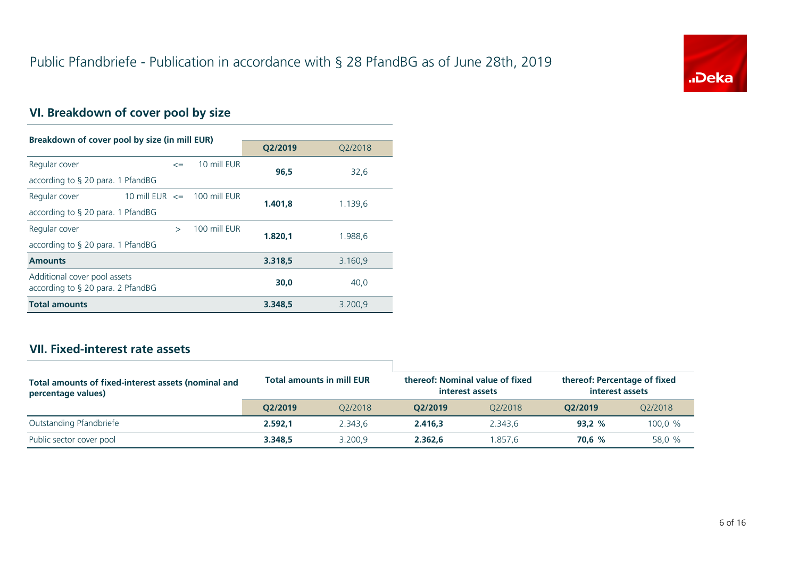

# **VI. Breakdown of cover pool by size**

| Breakdown of cover pool by size (in mill EUR)                     |                                 |              |         |         |
|-------------------------------------------------------------------|---------------------------------|--------------|---------|---------|
|                                                                   |                                 |              | Q2/2019 | Q2/2018 |
| Regular cover                                                     | $\leq$                          | 10 mill EUR  | 96.5    | 32,6    |
| according to § 20 para. 1 PfandBG                                 |                                 |              |         |         |
| Regular cover                                                     | 10 mill EUR $\leq$ 100 mill EUR |              | 1.401.8 | 1.139,6 |
| according to $\S$ 20 para. 1 PfandBG                              |                                 |              |         |         |
| Regular cover                                                     | $\mathbf{r}$                    | 100 mill EUR | 1.820.1 | 1.988.6 |
| according to $\S$ 20 para. 1 PfandBG                              |                                 |              |         |         |
| <b>Amounts</b>                                                    |                                 |              | 3.318,5 | 3.160,9 |
| Additional cover pool assets<br>according to § 20 para. 2 PfandBG |                                 |              | 30.0    | 40,0    |
| <b>Total amounts</b>                                              |                                 |              | 3.348,5 | 3.200,9 |

#### **VII. Fixed-interest rate assets**

| Total amounts of fixed-interest assets (nominal and<br>percentage values) |         | <b>Total amounts in mill EUR</b> | thereof: Nominal value of fixed<br>interest assets |         | thereof: Percentage of fixed<br>interest assets |         |
|---------------------------------------------------------------------------|---------|----------------------------------|----------------------------------------------------|---------|-------------------------------------------------|---------|
|                                                                           | O2/2019 | 02/2018                          | O2/2019                                            | 02/2018 | O2/2019                                         | 02/2018 |
| Outstanding Pfandbriefe                                                   | 2.592.1 | 2.343.6                          | 2.416.3                                            | 2.343.6 | 93.2%                                           | 100,0 % |
| Public sector cover pool                                                  | 3.348.5 | 3.200.9                          | 2.362.6                                            | .857.6  | 70.6 %                                          | 58,0 %  |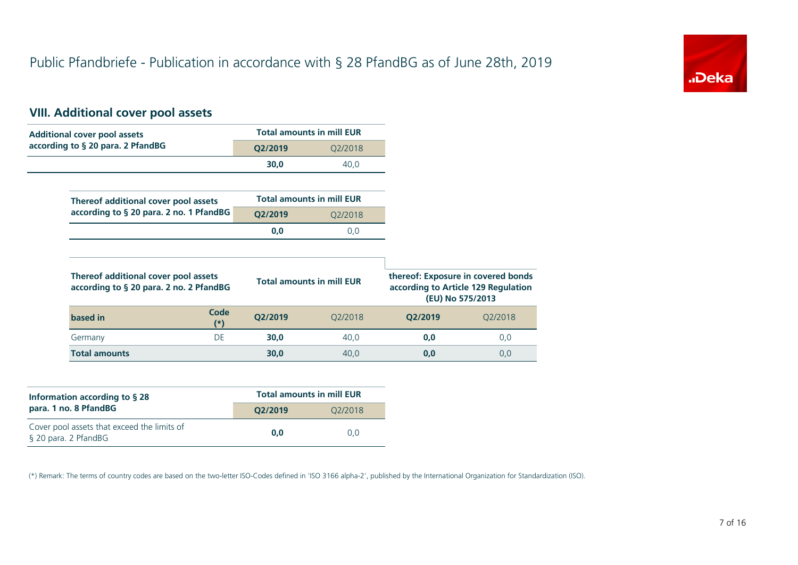

# **VIII. Additional cover pool assets**

| <b>Additional cover pool assets</b>                                             |         | <b>Total amounts in mill EUR</b> |                                                                                               |         |
|---------------------------------------------------------------------------------|---------|----------------------------------|-----------------------------------------------------------------------------------------------|---------|
| according to § 20 para. 2 PfandBG                                               | Q2/2019 | Q2/2018                          |                                                                                               |         |
|                                                                                 | 30,0    | 40,0                             |                                                                                               |         |
|                                                                                 |         |                                  |                                                                                               |         |
| Thereof additional cover pool assets                                            |         | <b>Total amounts in mill EUR</b> |                                                                                               |         |
| according to § 20 para. 2 no. 1 PfandBG                                         | Q2/2019 | Q2/2018                          |                                                                                               |         |
|                                                                                 | 0,0     | 0,0                              |                                                                                               |         |
|                                                                                 |         |                                  |                                                                                               |         |
| Thereof additional cover pool assets<br>according to § 20 para. 2 no. 2 PfandBG |         | <b>Total amounts in mill EUR</b> | thereof: Exposure in covered bonds<br>according to Article 129 Regulation<br>(EU) No 575/2013 |         |
| Code<br>based in<br>$(*)$                                                       | Q2/2019 | Q2/2018                          | Q2/2019                                                                                       | Q2/2018 |
| DE<br>Germany                                                                   | 30,0    | 40,0                             | 0,0                                                                                           | 0,0     |
| <b>Total amounts</b>                                                            | 30,0    | 40,0                             | 0,0                                                                                           | 0,0     |

| Information according to $\S$ 28                                    | <b>Total amounts in mill EUR</b> |         |  |  |
|---------------------------------------------------------------------|----------------------------------|---------|--|--|
| para. 1 no. 8 PfandBG                                               | O2/2019                          | O2/2018 |  |  |
| Cover pool assets that exceed the limits of<br>§ 20 para. 2 PfandBG | 0.0                              | 0.0     |  |  |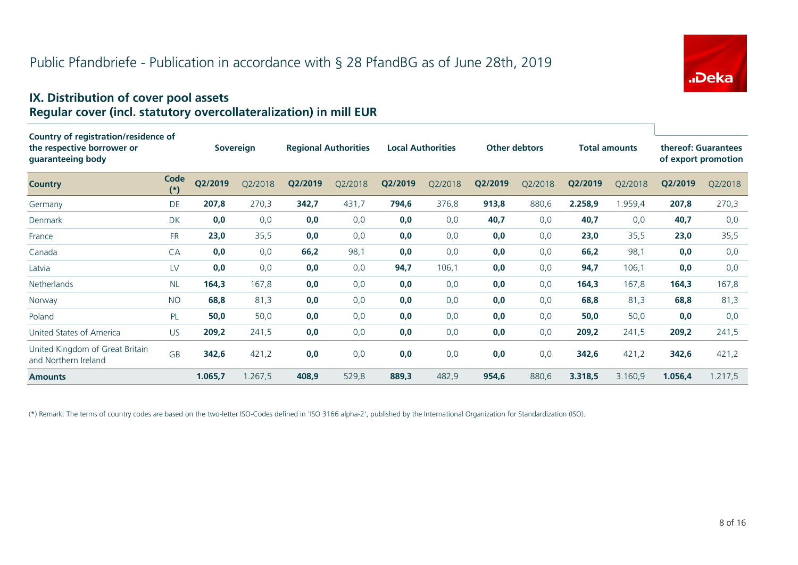

#### **IX. Distribution of cover pool assets Regular cover (incl. statutory overcollateralization) in mill EUR**

| Country of registration/residence of                    |               |         |                  |         |                             |         |                          |         |                      |         |                      |         |                                            |
|---------------------------------------------------------|---------------|---------|------------------|---------|-----------------------------|---------|--------------------------|---------|----------------------|---------|----------------------|---------|--------------------------------------------|
| the respective borrower or<br>guaranteeing body         |               |         | <b>Sovereign</b> |         | <b>Regional Authorities</b> |         | <b>Local Authorities</b> |         | <b>Other debtors</b> |         | <b>Total amounts</b> |         | thereof: Guarantees<br>of export promotion |
| <b>Country</b>                                          | Code<br>$(*)$ | Q2/2019 | O2/2018          | Q2/2019 | Q2/2018                     | Q2/2019 | Q2/2018                  | Q2/2019 | Q2/2018              | Q2/2019 | Q2/2018              | Q2/2019 | Q2/2018                                    |
| Germany                                                 | DE            | 207,8   | 270,3            | 342,7   | 431,7                       | 794,6   | 376,8                    | 913,8   | 880,6                | 2.258,9 | 1.959,4              | 207,8   | 270,3                                      |
| Denmark                                                 | DK            | 0,0     | 0,0              | 0,0     | 0,0                         | 0,0     | 0,0                      | 40,7    | 0,0                  | 40,7    | 0,0                  | 40,7    | 0,0                                        |
| France                                                  | <b>FR</b>     | 23,0    | 35,5             | 0,0     | 0,0                         | 0,0     | 0,0                      | 0,0     | 0,0                  | 23,0    | 35,5                 | 23,0    | 35,5                                       |
| Canada                                                  | CA            | 0,0     | 0,0              | 66,2    | 98,1                        | 0,0     | 0,0                      | 0,0     | 0,0                  | 66,2    | 98,1                 | 0,0     | 0,0                                        |
| Latvia                                                  | LV            | 0,0     | 0,0              | 0,0     | 0,0                         | 94,7    | 106,1                    | 0,0     | 0,0                  | 94,7    | 106,1                | 0,0     | 0,0                                        |
| <b>Netherlands</b>                                      | <b>NL</b>     | 164,3   | 167,8            | 0,0     | 0,0                         | 0,0     | 0,0                      | 0,0     | 0,0                  | 164,3   | 167,8                | 164,3   | 167,8                                      |
| Norway                                                  | <b>NO</b>     | 68,8    | 81,3             | 0,0     | 0,0                         | 0,0     | 0,0                      | 0,0     | 0,0                  | 68,8    | 81,3                 | 68,8    | 81,3                                       |
| Poland                                                  | PL            | 50,0    | 50,0             | 0,0     | 0,0                         | 0,0     | 0,0                      | 0,0     | 0,0                  | 50,0    | 50,0                 | 0,0     | 0,0                                        |
| United States of America                                | <b>US</b>     | 209,2   | 241,5            | 0,0     | 0,0                         | 0,0     | 0,0                      | 0,0     | 0,0                  | 209,2   | 241,5                | 209,2   | 241,5                                      |
| United Kingdom of Great Britain<br>and Northern Ireland | <b>GB</b>     | 342,6   | 421,2            | 0,0     | 0,0                         | 0,0     | 0,0                      | 0,0     | 0,0                  | 342,6   | 421,2                | 342,6   | 421,2                                      |
| <b>Amounts</b>                                          |               | 1.065,7 | 1.267,5          | 408,9   | 529,8                       | 889,3   | 482,9                    | 954,6   | 880,6                | 3.318,5 | 3.160,9              | 1.056,4 | 1.217,5                                    |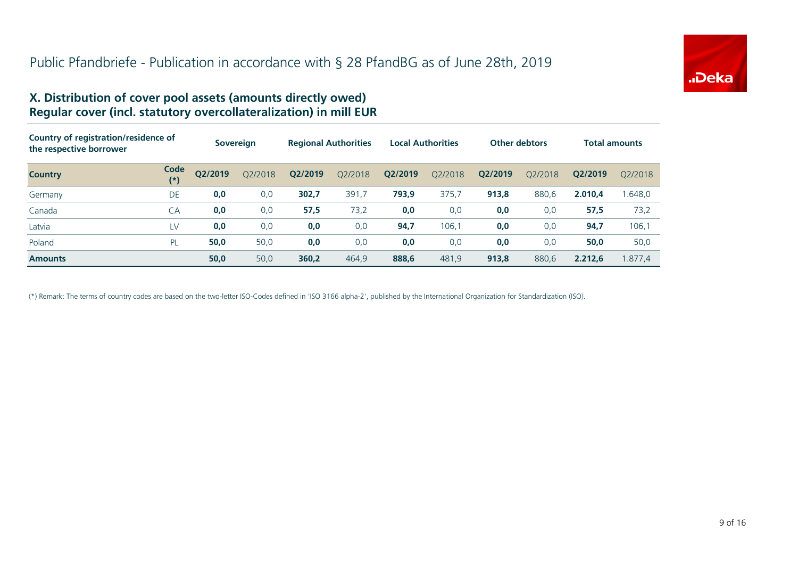

#### **X. Distribution of cover pool assets (amounts directly owed) Regular cover (incl. statutory overcollateralization) in mill EUR**

| Country of registration/residence of<br>the respective borrower |             |         | <b>Sovereign</b> |         | <b>Regional Authorities</b> | <b>Local Authorities</b> |         | <b>Other debtors</b> |         | <b>Total amounts</b> |         |
|-----------------------------------------------------------------|-------------|---------|------------------|---------|-----------------------------|--------------------------|---------|----------------------|---------|----------------------|---------|
| <b>Country</b>                                                  | Code<br>(*) | Q2/2019 | Q2/2018          | Q2/2019 | O2/2018                     | Q2/2019                  | 02/2018 | Q2/2019              | 02/2018 | O2/2019              | 02/2018 |
| Germany                                                         | DE          | 0,0     | 0,0              | 302,7   | 391,7                       | 793,9                    | 375,7   | 913,8                | 880,6   | 2.010,4              | .648.0  |
| Canada                                                          | СA          | 0,0     | 0,0              | 57,5    | 73,2                        | 0,0                      | 0,0     | 0,0                  | 0,0     | 57,5                 | 73,2    |
| Latvia                                                          | LV          | 0,0     | 0,0              | 0,0     | 0,0                         | 94,7                     | 106,1   | 0,0                  | 0,0     | 94,7                 | 106,1   |
| Poland                                                          | PL          | 50,0    | 50,0             | 0,0     | 0,0                         | 0,0                      | 0,0     | 0,0                  | 0,0     | 50,0                 | 50,0    |
| <b>Amounts</b>                                                  |             | 50,0    | 50,0             | 360,2   | 464.9                       | 888,6                    | 481.9   | 913,8                | 880.6   | 2.212.6              | .877.4  |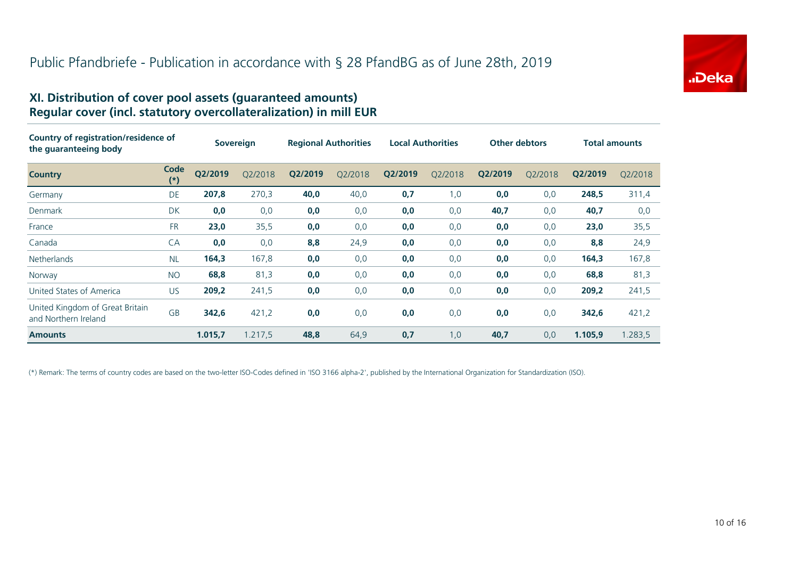

#### **XI. Distribution of cover pool assets (guaranteed amounts) Regular cover (incl. statutory overcollateralization) in mill EUR**

| Country of registration/residence of<br>the quaranteeing body |               | <b>Sovereign</b> |         | <b>Regional Authorities</b> |         | <b>Local Authorities</b> |         | <b>Other debtors</b> |         | <b>Total amounts</b> |         |
|---------------------------------------------------------------|---------------|------------------|---------|-----------------------------|---------|--------------------------|---------|----------------------|---------|----------------------|---------|
| <b>Country</b>                                                | Code<br>$(*)$ | Q2/2019          | Q2/2018 | Q2/2019                     | Q2/2018 | Q2/2019                  | Q2/2018 | Q2/2019              | Q2/2018 | Q2/2019              | Q2/2018 |
| Germany                                                       | DE            | 207,8            | 270,3   | 40,0                        | 40,0    | 0,7                      | 1,0     | 0,0                  | 0,0     | 248,5                | 311,4   |
| Denmark                                                       | <b>DK</b>     | 0,0              | 0,0     | 0,0                         | 0,0     | 0,0                      | 0,0     | 40,7                 | 0,0     | 40,7                 | 0,0     |
| France                                                        | <b>FR</b>     | 23,0             | 35,5    | 0,0                         | 0,0     | 0,0                      | 0,0     | 0,0                  | 0,0     | 23,0                 | 35,5    |
| Canada                                                        | CA            | 0,0              | 0,0     | 8,8                         | 24,9    | 0,0                      | 0,0     | 0,0                  | 0,0     | 8,8                  | 24,9    |
| <b>Netherlands</b>                                            | <b>NL</b>     | 164,3            | 167,8   | 0,0                         | 0,0     | 0,0                      | 0,0     | 0,0                  | 0,0     | 164,3                | 167,8   |
| Norway                                                        | <b>NO</b>     | 68,8             | 81,3    | 0,0                         | 0,0     | 0,0                      | 0,0     | 0,0                  | 0,0     | 68,8                 | 81,3    |
| United States of America                                      | US.           | 209,2            | 241,5   | 0,0                         | 0,0     | 0,0                      | 0,0     | 0,0                  | 0,0     | 209,2                | 241,5   |
| United Kingdom of Great Britain<br>and Northern Ireland       | <b>GB</b>     | 342,6            | 421,2   | 0,0                         | 0,0     | 0,0                      | 0,0     | 0,0                  | 0,0     | 342,6                | 421,2   |
| <b>Amounts</b>                                                |               | 1.015,7          | 1.217,5 | 48,8                        | 64,9    | 0,7                      | 1,0     | 40,7                 | 0,0     | 1.105,9              | 1.283,5 |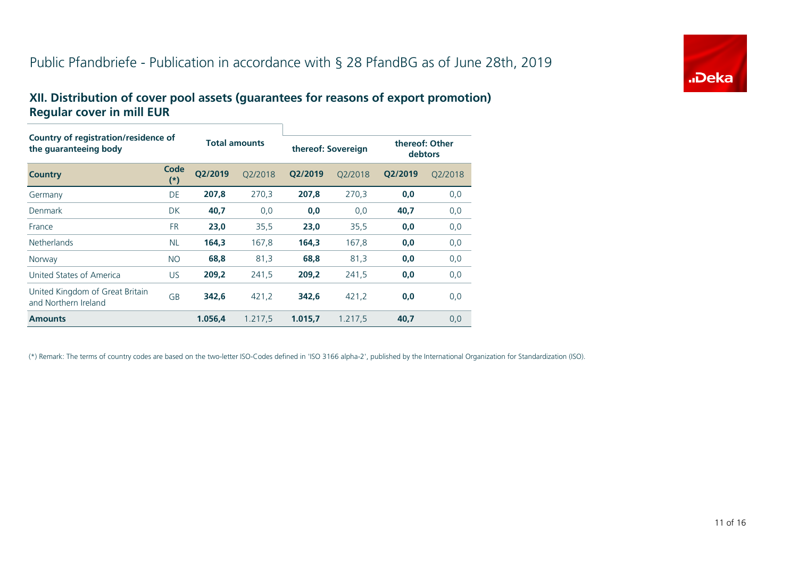# Public Pfandbriefe - Publication in accordance with § 28 PfandBG as of June 28th, 2019



#### **XII. Distribution of cover pool assets (guarantees for reasons of export promotion) Regular cover in mill EUR**

| Country of registration/residence of<br>the quaranteeing body |                   |                      |         |                    |         |                           |         |
|---------------------------------------------------------------|-------------------|----------------------|---------|--------------------|---------|---------------------------|---------|
|                                                               |                   | <b>Total amounts</b> |         | thereof: Sovereign |         | thereof: Other<br>debtors |         |
| <b>Country</b>                                                | Code<br>$^{\ast}$ | Q2/2019              | O2/2018 | Q2/2019            | Q2/2018 | Q2/2019                   | Q2/2018 |
| Germany                                                       | DE                | 207,8                | 270,3   | 207.8              | 270,3   | 0,0                       | 0,0     |
| Denmark                                                       | <b>DK</b>         | 40,7                 | 0,0     | 0,0                | 0,0     | 40,7                      | 0,0     |
| France                                                        | <b>FR</b>         | 23,0                 | 35,5    | 23,0               | 35,5    | 0,0                       | 0,0     |
| <b>Netherlands</b>                                            | <b>NL</b>         | 164,3                | 167,8   | 164,3              | 167,8   | 0,0                       | 0,0     |
| Norway                                                        | <b>NO</b>         | 68,8                 | 81,3    | 68,8               | 81,3    | 0,0                       | 0,0     |
| United States of America                                      | <b>US</b>         | 209,2                | 241,5   | 209,2              | 241,5   | 0,0                       | 0,0     |
| United Kingdom of Great Britain<br>and Northern Ireland       | <b>GB</b>         | 342,6                | 421,2   | 342,6              | 421,2   | 0,0                       | 0,0     |
| <b>Amounts</b>                                                |                   | 1.056,4              | 1.217,5 | 1.015.7            | 1.217,5 | 40,7                      | 0,0     |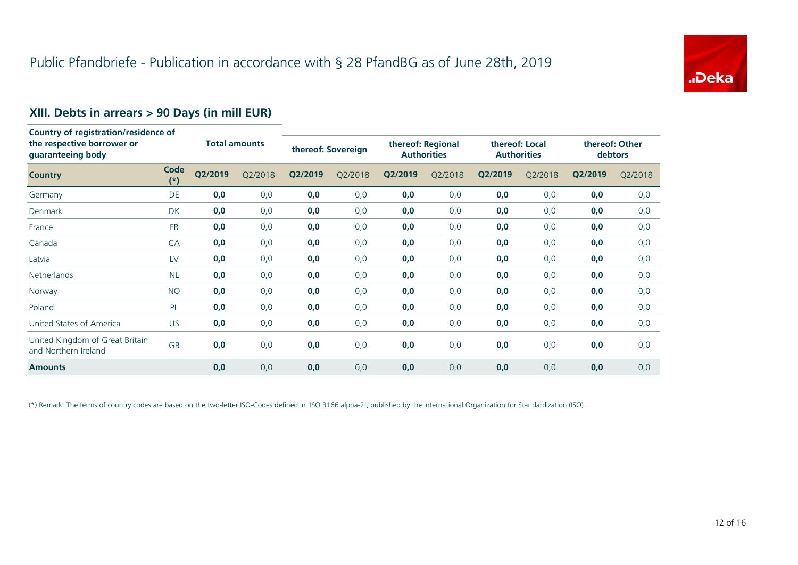

# **XIII. Debts in arrears > 90 Days (in mill EUR)**

| Country of registration/residence of<br>the respective borrower or<br>guaranteeing body |               |                      |         |                    |         |                                         |         |                                      |         |                           |         |
|-----------------------------------------------------------------------------------------|---------------|----------------------|---------|--------------------|---------|-----------------------------------------|---------|--------------------------------------|---------|---------------------------|---------|
|                                                                                         |               | <b>Total amounts</b> |         | thereof: Sovereign |         | thereof: Regional<br><b>Authorities</b> |         | thereof: Local<br><b>Authorities</b> |         | thereof: Other<br>debtors |         |
| <b>Country</b>                                                                          | Code<br>$(*)$ | Q2/2019              | Q2/2018 | Q2/2019            | Q2/2018 | Q2/2019                                 | Q2/2018 | Q2/2019                              | Q2/2018 | Q2/2019                   | Q2/2018 |
| Germany                                                                                 | DE            | 0,0                  | 0,0     | 0,0                | 0,0     | 0,0                                     | 0,0     | 0,0                                  | 0,0     | 0,0                       | 0,0     |
| Denmark                                                                                 | <b>DK</b>     | 0,0                  | 0,0     | 0,0                | 0,0     | 0,0                                     | 0,0     | 0,0                                  | 0,0     | 0,0                       | 0,0     |
| France                                                                                  | <b>FR</b>     | 0,0                  | 0,0     | 0,0                | 0,0     | 0,0                                     | 0,0     | 0,0                                  | 0,0     | 0,0                       | 0,0     |
| Canada                                                                                  | CA            | 0,0                  | 0,0     | 0,0                | 0,0     | 0,0                                     | 0,0     | 0,0                                  | 0,0     | 0,0                       | 0,0     |
| Latvia                                                                                  | LV            | 0,0                  | 0,0     | 0,0                | 0,0     | 0,0                                     | 0,0     | 0,0                                  | 0,0     | 0,0                       | 0,0     |
| Netherlands                                                                             | <b>NL</b>     | 0,0                  | 0,0     | 0,0                | 0,0     | 0,0                                     | 0,0     | 0,0                                  | 0,0     | 0,0                       | 0,0     |
| Norway                                                                                  | <b>NO</b>     | 0,0                  | 0,0     | 0,0                | 0,0     | 0,0                                     | 0,0     | 0,0                                  | 0,0     | 0,0                       | 0,0     |
| Poland                                                                                  | PL            | 0,0                  | 0,0     | 0,0                | 0,0     | 0,0                                     | 0,0     | 0,0                                  | 0,0     | 0,0                       | 0,0     |
| United States of America                                                                | <b>US</b>     | 0,0                  | 0,0     | 0,0                | 0,0     | 0,0                                     | 0,0     | 0,0                                  | 0,0     | 0,0                       | 0,0     |
| United Kingdom of Great Britain<br>and Northern Ireland                                 | GB            | 0,0                  | 0,0     | 0,0                | 0,0     | 0,0                                     | 0,0     | 0,0                                  | 0,0     | 0,0                       | 0,0     |
| <b>Amounts</b>                                                                          |               | 0,0                  | 0,0     | 0,0                | 0,0     | 0,0                                     | 0,0     | 0,0                                  | 0,0     | 0,0                       | 0,0     |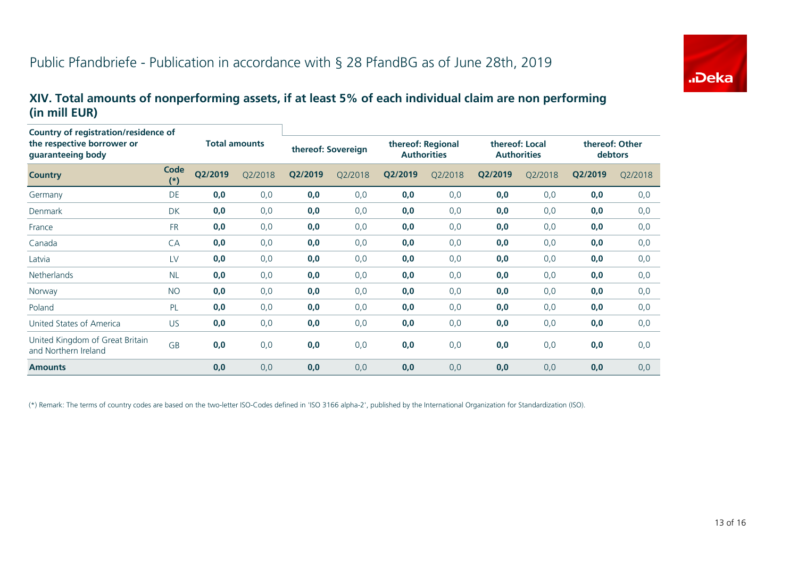

#### **XIV. Total amounts of nonperforming assets, if at least 5% of each individual claim are non performing (in mill EUR)**

| <b>Country of registration/residence of</b><br>the respective borrower or<br>guaranteeing body |               | <b>Total amounts</b> |         | thereof: Sovereign |         | thereof: Regional<br><b>Authorities</b> |         | thereof: Local<br><b>Authorities</b> |         | thereof: Other<br>debtors |         |
|------------------------------------------------------------------------------------------------|---------------|----------------------|---------|--------------------|---------|-----------------------------------------|---------|--------------------------------------|---------|---------------------------|---------|
| <b>Country</b>                                                                                 | Code<br>$(*)$ | Q2/2019              | Q2/2018 | Q2/2019            | Q2/2018 | Q2/2019                                 | Q2/2018 | Q2/2019                              | Q2/2018 | Q2/2019                   | Q2/2018 |
| Germany                                                                                        | <b>DE</b>     | 0,0                  | 0,0     | 0,0                | 0,0     | 0,0                                     | 0,0     | 0,0                                  | 0,0     | 0,0                       | 0,0     |
| Denmark                                                                                        | <b>DK</b>     | 0,0                  | 0,0     | 0,0                | 0,0     | 0,0                                     | 0,0     | 0,0                                  | 0,0     | 0,0                       | 0,0     |
| France                                                                                         | <b>FR</b>     | 0,0                  | 0,0     | 0,0                | 0,0     | 0,0                                     | 0,0     | 0,0                                  | 0,0     | 0,0                       | 0,0     |
| Canada                                                                                         | CA            | 0,0                  | 0,0     | 0,0                | 0,0     | 0,0                                     | 0,0     | 0,0                                  | 0,0     | 0,0                       | 0,0     |
| Latvia                                                                                         | LV            | 0,0                  | 0,0     | 0,0                | 0,0     | 0,0                                     | 0,0     | 0,0                                  | 0,0     | 0,0                       | 0,0     |
| <b>Netherlands</b>                                                                             | <b>NL</b>     | 0,0                  | 0,0     | 0,0                | 0,0     | 0,0                                     | 0,0     | 0,0                                  | 0,0     | 0,0                       | 0,0     |
| Norway                                                                                         | <b>NO</b>     | 0,0                  | 0,0     | 0,0                | 0,0     | 0,0                                     | 0,0     | 0,0                                  | 0,0     | 0,0                       | 0,0     |
| Poland                                                                                         | PL            | 0,0                  | 0,0     | 0,0                | 0,0     | 0,0                                     | 0,0     | 0,0                                  | 0,0     | 0,0                       | 0,0     |
| United States of America                                                                       | <b>US</b>     | 0,0                  | 0,0     | 0,0                | 0,0     | 0,0                                     | 0,0     | 0,0                                  | 0,0     | 0,0                       | 0,0     |
| United Kingdom of Great Britain<br>and Northern Ireland                                        | <b>GB</b>     | 0,0                  | 0,0     | 0,0                | 0,0     | 0,0                                     | 0,0     | 0,0                                  | 0,0     | 0,0                       | 0,0     |
| <b>Amounts</b>                                                                                 |               | 0,0                  | 0,0     | 0,0                | 0,0     | 0,0                                     | 0,0     | 0,0                                  | 0,0     | 0,0                       | 0,0     |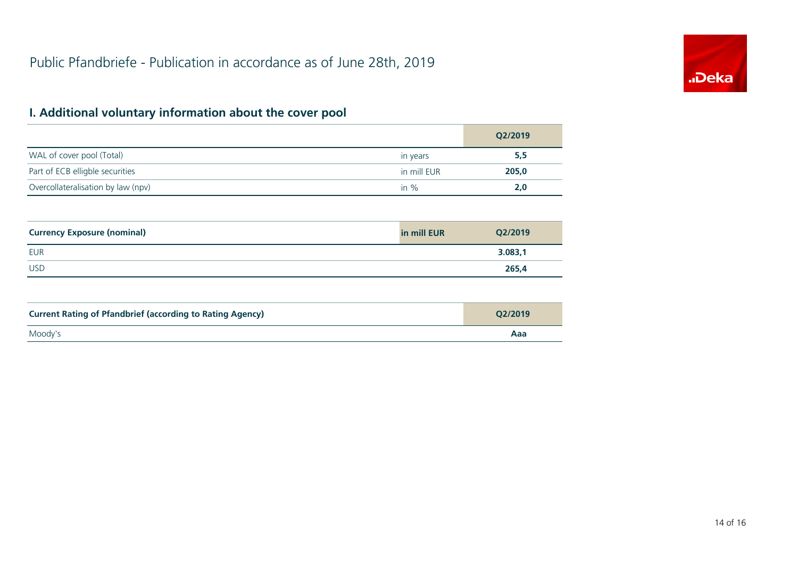

# **I. Additional voluntary information about the cover pool**

|                                    |             | Q2/2019 |
|------------------------------------|-------------|---------|
| WAL of cover pool (Total)          | in years    | 5,5     |
| Part of ECB elligble securities    | in mill EUR | 205,0   |
| Overcollateralisation by law (npv) | in $\%$     | 2.0     |

| <b>Currency Exposure (nominal)</b> | in mill EUR | Q2/2019 |
|------------------------------------|-------------|---------|
| <b>EUR</b>                         |             | 3.083,1 |
| <b>USD</b>                         |             | 265,4   |

| <b>Current Rating of Pfandbrief (according to Rating Agency)</b> | O2/2019 |
|------------------------------------------------------------------|---------|
| Moody's                                                          | Aaa     |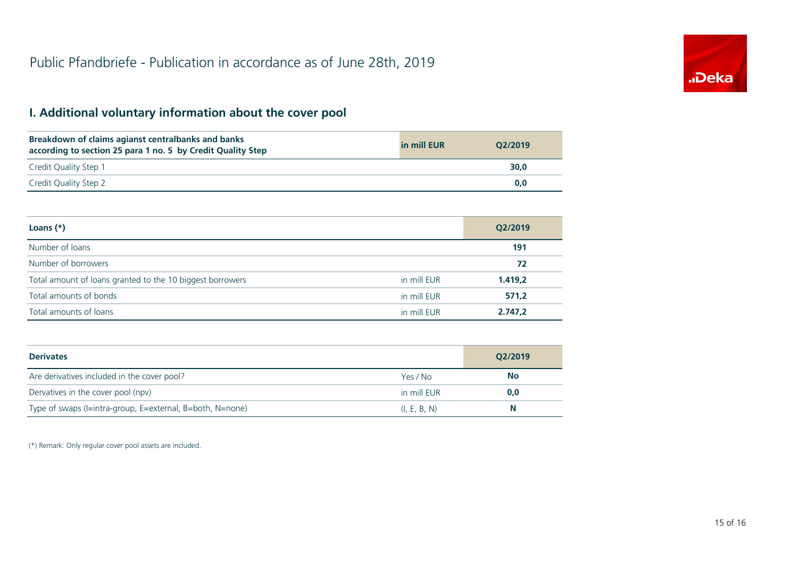# **I. Additional voluntary information about the cover pool**

| Breakdown of claims agianst centralbanks and banks<br>according to section 25 para 1 no. 5 by Credit Quality Step | in mill EUR | O2/2019 |
|-------------------------------------------------------------------------------------------------------------------|-------------|---------|
| Credit Quality Step 1                                                                                             |             | 30.0    |
| Credit Quality Step 2                                                                                             |             | 0.0     |

| Loans $(*)$                                               |             | Q2/2019 |
|-----------------------------------------------------------|-------------|---------|
| Number of loans                                           |             | 191     |
| Number of borrowers                                       |             | 72      |
| Total amount of loans granted to the 10 biggest borrowers | in mill EUR | 1.419,2 |
| Total amounts of bonds                                    | in mill EUR | 571,2   |
| Total amounts of loans                                    | in mill EUR | 2.747,2 |

| <b>Derivates</b>                                          |              | Q2/2019   |
|-----------------------------------------------------------|--------------|-----------|
| Are derivatives included in the cover pool?               | Yes / No     | <b>No</b> |
| Dervatives in the cover pool (npv)                        | in mill EUR  | 0,0       |
| Type of swaps (I=intra-group, E=external, B=both, N=none) | (I, E, B, N) | N         |

(\*) Remark: Only regular cover pool assets are included.